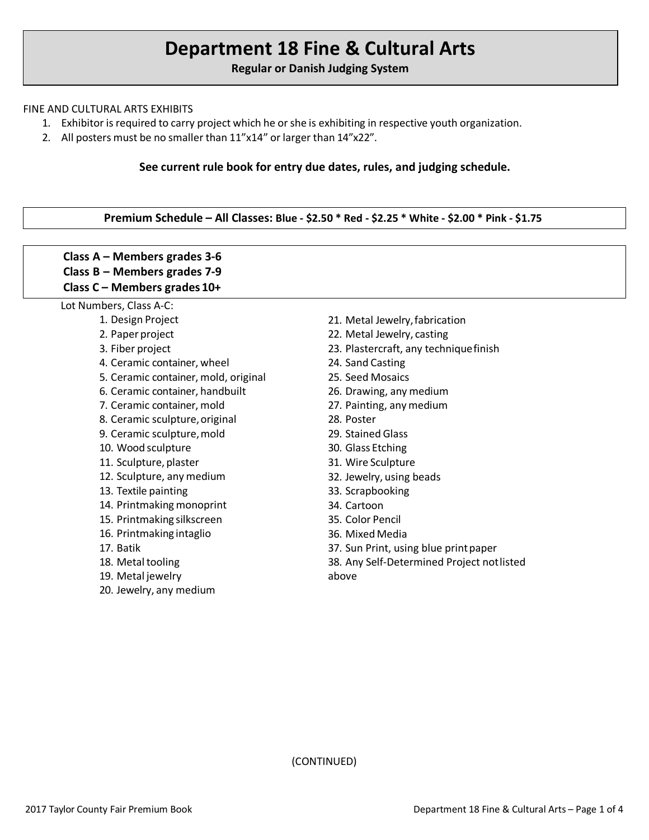# **Department 18 Fine & Cultural Arts**

**Regular or Danish Judging System**

#### FINE AND CULTURAL ARTS EXHIBITS

- 1. Exhibitor is required to carry project which he or she is exhibiting in respective youth organization.
- 2. All posters must be no smaller than 11"x14" or larger than 14"x22".

## **See current rule book for entry due dates, rules, and judging schedule.**

# **Premium Schedule – All Classes: Blue - \$2.50 \* Red - \$2.25 \* White - \$2.00 \* Pink - \$1.75**

| Class $A -$ Members grades 3-6                                 |                                            |
|----------------------------------------------------------------|--------------------------------------------|
| Class $B$ – Members grades 7-9<br>Class C - Members grades 10+ |                                            |
| Lot Numbers, Class A-C:                                        |                                            |
| 1. Design Project                                              | 21. Metal Jewelry, fabrication             |
| 2. Paper project                                               | 22. Metal Jewelry, casting                 |
| 3. Fiber project                                               | 23. Plastercraft, any technique finish     |
| 4. Ceramic container, wheel                                    | 24. Sand Casting                           |
| 5. Ceramic container, mold, original                           | 25. Seed Mosaics                           |
| 6. Ceramic container, handbuilt                                | 26. Drawing, any medium                    |
| 7. Ceramic container, mold                                     | 27. Painting, any medium                   |
| 8. Ceramic sculpture, original                                 | 28. Poster                                 |
| 9. Ceramic sculpture, mold                                     | 29. Stained Glass                          |
| 10. Wood sculpture                                             | 30. Glass Etching                          |
| 11. Sculpture, plaster                                         | 31. Wire Sculpture                         |
| 12. Sculpture, any medium                                      | 32. Jewelry, using beads                   |
| 13. Textile painting                                           | 33. Scrapbooking                           |
| 14. Printmaking monoprint                                      | 34. Cartoon                                |
| 15. Printmaking silkscreen                                     | 35. Color Pencil                           |
| 16. Printmaking intaglio                                       | 36. Mixed Media                            |
| 17. Batik                                                      | 37. Sun Print, using blue print paper      |
| 18. Metal tooling                                              | 38. Any Self-Determined Project not listed |
| 19. Metal jewelry                                              | above                                      |
| 20. Jewelry, any medium                                        |                                            |

(CONTINUED)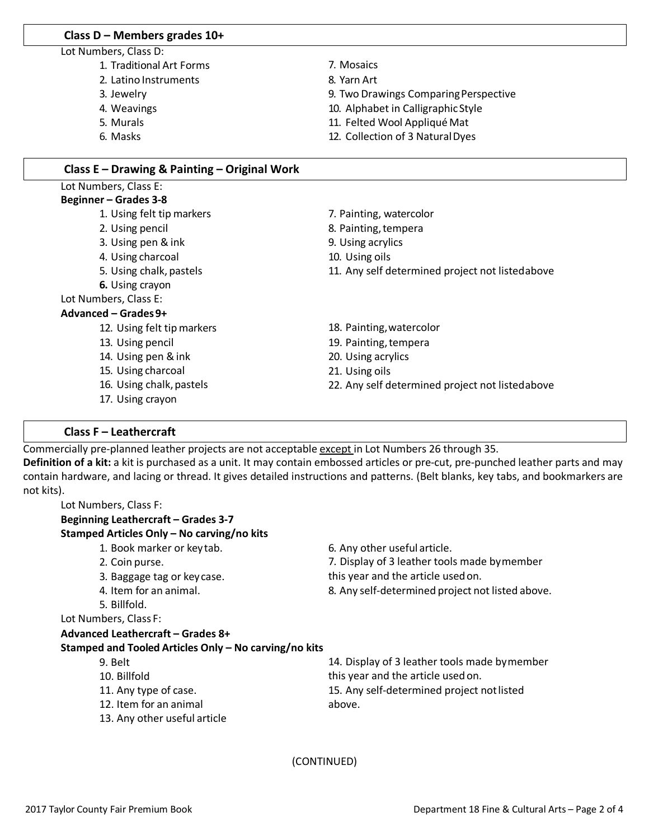#### **Class D – Members grades 10+**

- Lot Numbers, Class D:
	- 1. Traditional Art Forms
	- 2. Latino Instruments
	- 3. Jewelry
	- 4. Weavings
	- 5. Murals
	- 6. Masks
- 7. Mosaics
- 8. Yarn Art
- 9. Two Drawings ComparingPerspective
- 10. Alphabet in CalligraphicStyle
- 11. Felted Wool Appliqué Mat
- 12. Collection of 3 NaturalDyes

## **Class E – Drawing & Painting – Original Work**

#### Lot Numbers, Class E: **Beginner – Grades 3-8**

- 1. Using felt tip markers
- 2. Using pencil
- 3. Using pen & ink
- 4. Using charcoal
- 5. Using chalk, pastels
- **6.** Using crayon

#### Lot Numbers, Class E:

#### **Advanced – Grades9+**

- 12. Using felt tip markers
- 13. Using pencil
- 14. Using pen &ink
- 15. Using charcoal
- 16. Using chalk, pastels
- 17. Using crayon

# 7. Painting, watercolor

- 8. Painting,tempera
- 9. Using acrylics
- 10. Using oils
- 11. Any self determined project not listedabove
- 18. Painting,watercolor
- 19. Painting, tempera
- 20. Using acrylics
- 21. Using oils
- 22. Any self determined project not listedabove

## **Class F – Leathercraft**

Commercially pre-planned leather projects are not acceptable except in Lot Numbers 26 through 35.

**Definition of a kit:** a kit is purchased as a unit. It may contain embossed articles or pre-cut, pre-punched leather parts and may contain hardware, and lacing or thread. It gives detailed instructions and patterns. (Belt blanks, key tabs, and bookmarkers are not kits).

| Stamped Articles Only - No carving/no kits            |                                                  |
|-------------------------------------------------------|--------------------------------------------------|
| 1. Book marker or key tab.                            | 6. Any other useful article.                     |
| 2. Coin purse.                                        | 7. Display of 3 leather tools made bymember      |
| 3. Baggage tag or key case.                           | this year and the article used on.               |
| 4. Item for an animal.                                | 8. Any self-determined project not listed above. |
| 5. Billfold.                                          |                                                  |
| Lot Numbers, Class F:                                 |                                                  |
| Advanced Leathercraft - Grades 8+                     |                                                  |
| Stamped and Tooled Articles Only - No carving/no kits |                                                  |
| 9. Belt                                               | 14. Display of 3 leather tools made by member    |
| 10. Billfold                                          | this year and the article used on.               |
| 11. Any type of case.                                 | 15. Any self-determined project not listed       |
| 12. Item for an animal                                | above.                                           |
| 13. Any other useful article                          |                                                  |

(CONTINUED)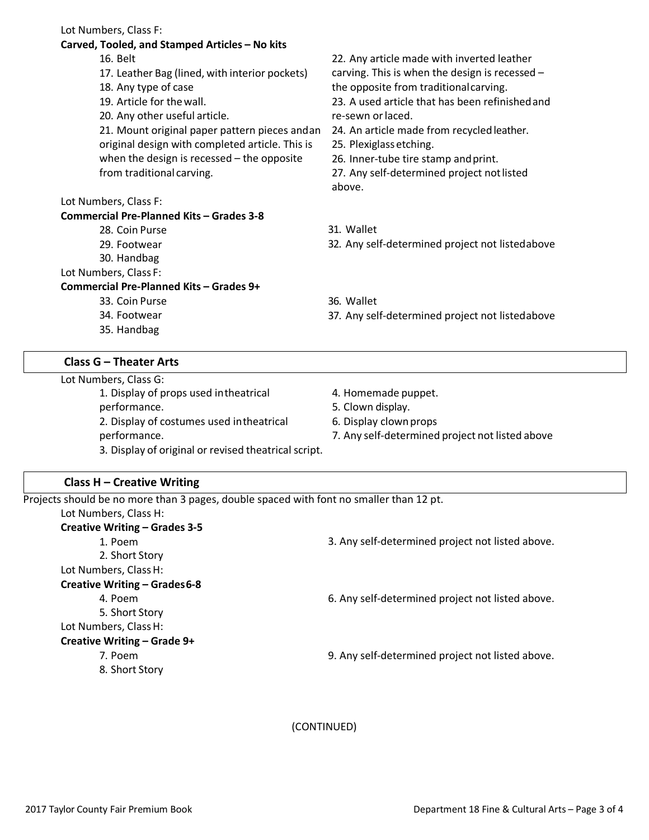|  | Lot Numbers, Class F: |  |  |
|--|-----------------------|--|--|
|--|-----------------------|--|--|

#### **Carved, Tooled, and Stamped Articles – No kits**

- 16. Belt
- 17. Leather Bag (lined, with interior pockets)
- 18. Any type of case
- 19. Article for thewall.
- 20. Any other useful article.
- 21. Mount original paper pattern pieces andan original design with completed article. This is when the design is recessed – the opposite from traditional carving.

## Lot Numbers, Class F:

## **Commercial Pre-Planned Kits – Grades 3-8**

- 28. Coin Purse
- 29. Footwear
- 30. Handbag

## Lot Numbers, Class F:

## **Commercial Pre-Planned Kits – Grades 9+**

- 33. Coin Purse
- 34. Footwear
- 35. Handbag

# **Class G – Theater Arts**

Lot Numbers, Class G:

1. Display of props used intheatrical

- performance.
	- 2. Display of costumes used intheatrical
	- performance.

22. Any article made with inverted leather carving. This is when the design is recessed – the opposite from traditionalcarving.

23. A used article that has been refinishedand re-sewn orlaced.

- 24. An article made from recycled leather.
- 25. Plexiglass etching.
- 26. Inner-tube tire stamp andprint.

27. Any self-determined project not listed above.

- 31. Wallet
- 32. Any self-determined project not listedabove
- 36. Wallet
- 37. Any self-determined project not listedabove
- 4. Homemade puppet.
- 5. Clown display.
- 6. Display clownprops
- 7. Any self-determined project not listed above
- 3. Display of original or revised theatrical script.

# **Class H – Creative Writing**

| Projects should be no more than 3 pages, double spaced with font no smaller than 12 pt. |                            |
|-----------------------------------------------------------------------------------------|----------------------------|
| Lot Numbers, Class H:                                                                   |                            |
| <b>Creative Writing – Grades 3-5</b>                                                    |                            |
| 1. Poem                                                                                 | 3. Any self-determined pro |

2. Short Story Lot Numbers, ClassH: **Creative Writing – Grades6-8** 4. Poem 5. Short Story Lot Numbers, ClassH: **Creative Writing – Grade 9+**

7. Poem

8. Short Story

ject not listed above.

6. Any self-determined project not listed above.

9. Any self-determined project not listed above.

(CONTINUED)